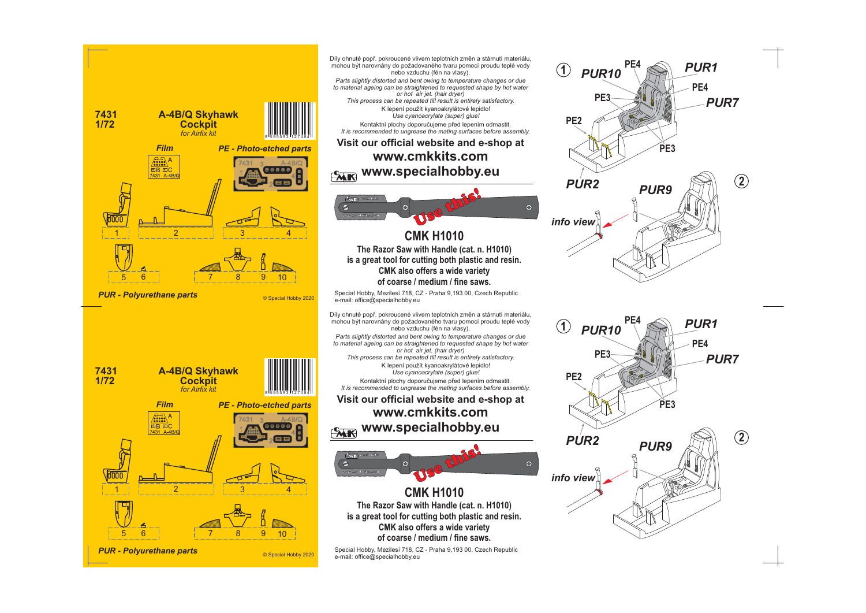

**2**

**2**